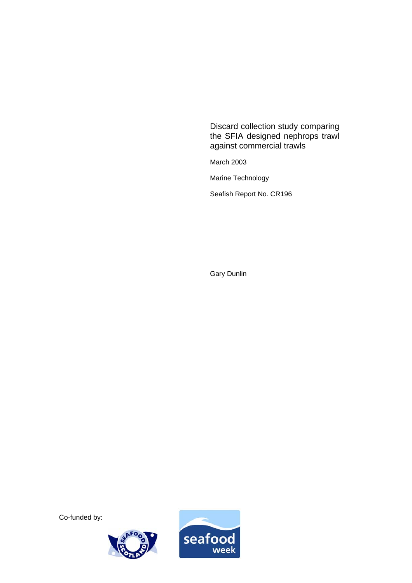March 2003

Marine Technology

Seafish Report No. CR196

Gary Dunlin

Co-funded by:



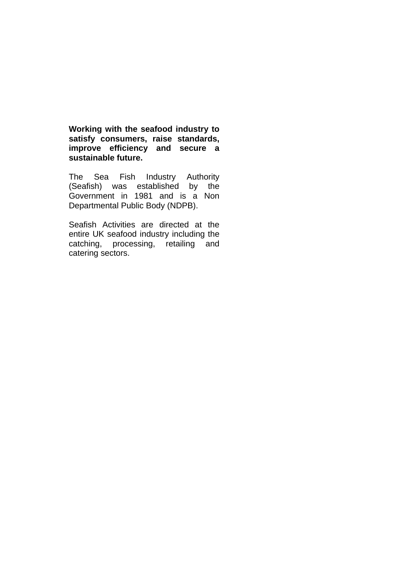**Working with the seafood industry to satisfy consumers, raise standards, improve efficiency and secure a sustainable future.** 

The Sea Fish Industry Authority (Seafish) was established by the Government in 1981 and is a Non Departmental Public Body (NDPB).

Seafish Activities are directed at the entire UK seafood industry including the catching, processing, retailing and catering sectors.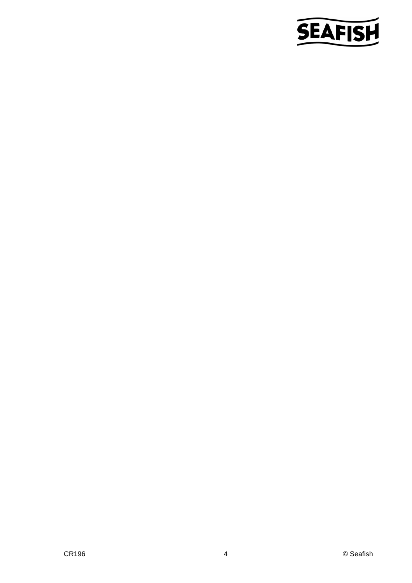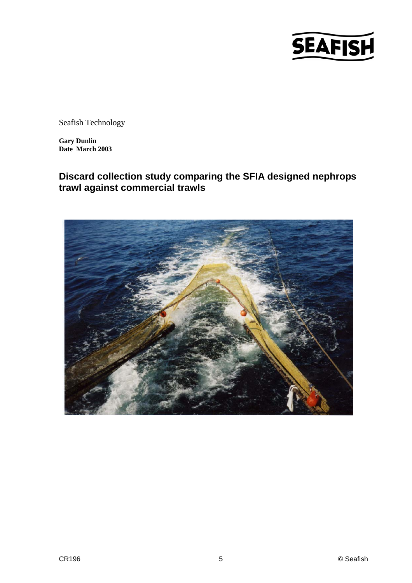

Seafish Technology

**Gary Dunlin Date March 2003** 

# **Discard collection study comparing the SFIA designed nephrops trawl against commercial trawls**

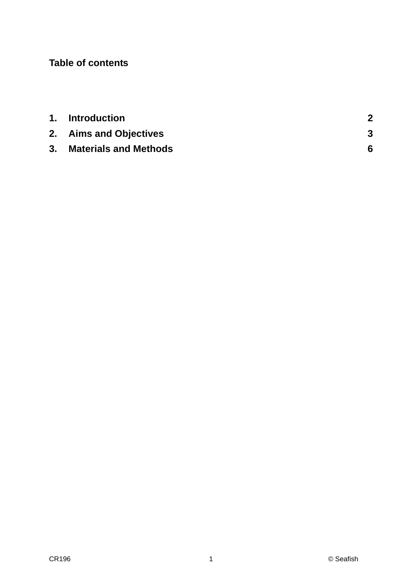# **Table of contents**

|    | 1. Introduction              |  |
|----|------------------------------|--|
|    | 2. Aims and Objectives       |  |
| 3. | <b>Materials and Methods</b> |  |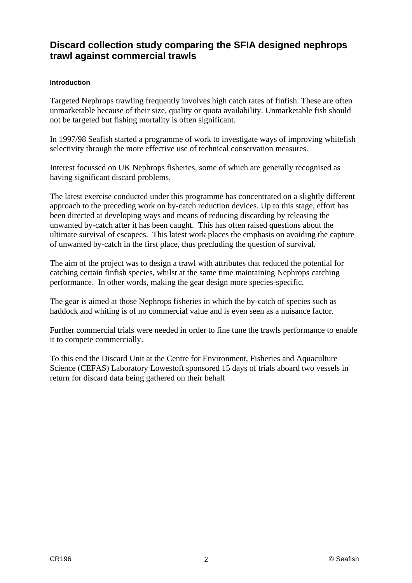#### **Introduction**

Targeted Nephrops trawling frequently involves high catch rates of finfish. These are often unmarketable because of their size, quality or quota availability. Unmarketable fish should not be targeted but fishing mortality is often significant.

In 1997/98 Seafish started a programme of work to investigate ways of improving whitefish selectivity through the more effective use of technical conservation measures.

Interest focussed on UK Nephrops fisheries, some of which are generally recognised as having significant discard problems.

The latest exercise conducted under this programme has concentrated on a slightly different approach to the preceding work on by-catch reduction devices. Up to this stage, effort has been directed at developing ways and means of reducing discarding by releasing the unwanted by-catch after it has been caught. This has often raised questions about the ultimate survival of escapees. This latest work places the emphasis on avoiding the capture of unwanted by-catch in the first place, thus precluding the question of survival.

The aim of the project was to design a trawl with attributes that reduced the potential for catching certain finfish species, whilst at the same time maintaining Nephrops catching performance. In other words, making the gear design more species-specific.

The gear is aimed at those Nephrops fisheries in which the by-catch of species such as haddock and whiting is of no commercial value and is even seen as a nuisance factor.

Further commercial trials were needed in order to fine tune the trawls performance to enable it to compete commercially.

To this end the Discard Unit at the Centre for Environment, Fisheries and Aquaculture Science (CEFAS) Laboratory Lowestoft sponsored 15 days of trials aboard two vessels in return for discard data being gathered on their behalf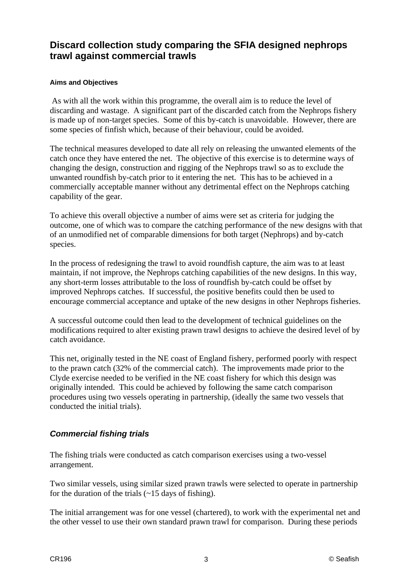#### **Aims and Objectives**

 As with all the work within this programme, the overall aim is to reduce the level of discarding and wastage. A significant part of the discarded catch from the Nephrops fishery is made up of non-target species. Some of this by-catch is unavoidable. However, there are some species of finfish which, because of their behaviour, could be avoided.

The technical measures developed to date all rely on releasing the unwanted elements of the catch once they have entered the net. The objective of this exercise is to determine ways of changing the design, construction and rigging of the Nephrops trawl so as to exclude the unwanted roundfish by-catch prior to it entering the net. This has to be achieved in a commercially acceptable manner without any detrimental effect on the Nephrops catching capability of the gear.

To achieve this overall objective a number of aims were set as criteria for judging the outcome, one of which was to compare the catching performance of the new designs with that of an unmodified net of comparable dimensions for both target (Nephrops) and by-catch species.

In the process of redesigning the trawl to avoid roundfish capture, the aim was to at least maintain, if not improve, the Nephrops catching capabilities of the new designs. In this way, any short-term losses attributable to the loss of roundfish by-catch could be offset by improved Nephrops catches. If successful, the positive benefits could then be used to encourage commercial acceptance and uptake of the new designs in other Nephrops fisheries.

A successful outcome could then lead to the development of technical guidelines on the modifications required to alter existing prawn trawl designs to achieve the desired level of by catch avoidance.

This net, originally tested in the NE coast of England fishery, performed poorly with respect to the prawn catch (32% of the commercial catch). The improvements made prior to the Clyde exercise needed to be verified in the NE coast fishery for which this design was originally intended. This could be achieved by following the same catch comparison procedures using two vessels operating in partnership, (ideally the same two vessels that conducted the initial trials).

#### *Commercial fishing trials*

The fishing trials were conducted as catch comparison exercises using a two-vessel arrangement.

Two similar vessels, using similar sized prawn trawls were selected to operate in partnership for the duration of the trials  $(-15 \text{ days of fishing}).$ 

The initial arrangement was for one vessel (chartered), to work with the experimental net and the other vessel to use their own standard prawn trawl for comparison. During these periods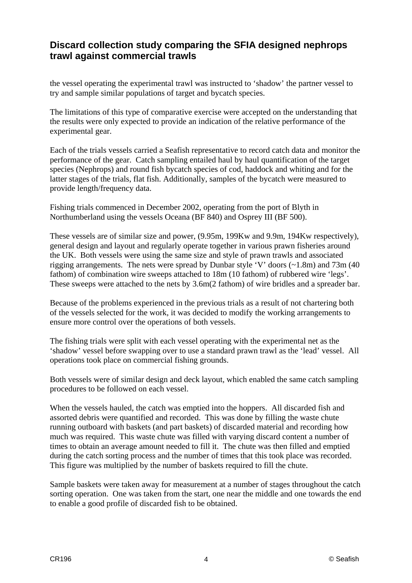the vessel operating the experimental trawl was instructed to 'shadow' the partner vessel to try and sample similar populations of target and bycatch species.

The limitations of this type of comparative exercise were accepted on the understanding that the results were only expected to provide an indication of the relative performance of the experimental gear.

Each of the trials vessels carried a Seafish representative to record catch data and monitor the performance of the gear. Catch sampling entailed haul by haul quantification of the target species (Nephrops) and round fish bycatch species of cod, haddock and whiting and for the latter stages of the trials, flat fish. Additionally, samples of the bycatch were measured to provide length/frequency data.

Fishing trials commenced in December 2002, operating from the port of Blyth in Northumberland using the vessels Oceana (BF 840) and Osprey III (BF 500).

These vessels are of similar size and power, (9.95m, 199Kw and 9.9m, 194Kw respectively), general design and layout and regularly operate together in various prawn fisheries around the UK. Both vessels were using the same size and style of prawn trawls and associated rigging arrangements. The nets were spread by Dunbar style 'V' doors  $(-1.8m)$  and  $73m$  (40) fathom) of combination wire sweeps attached to 18m (10 fathom) of rubbered wire 'legs'. These sweeps were attached to the nets by 3.6m(2 fathom) of wire bridles and a spreader bar.

Because of the problems experienced in the previous trials as a result of not chartering both of the vessels selected for the work, it was decided to modify the working arrangements to ensure more control over the operations of both vessels.

The fishing trials were split with each vessel operating with the experimental net as the 'shadow' vessel before swapping over to use a standard prawn trawl as the 'lead' vessel. All operations took place on commercial fishing grounds.

Both vessels were of similar design and deck layout, which enabled the same catch sampling procedures to be followed on each vessel.

When the vessels hauled, the catch was emptied into the hoppers. All discarded fish and assorted debris were quantified and recorded. This was done by filling the waste chute running outboard with baskets (and part baskets) of discarded material and recording how much was required. This waste chute was filled with varying discard content a number of times to obtain an average amount needed to fill it. The chute was then filled and emptied during the catch sorting process and the number of times that this took place was recorded. This figure was multiplied by the number of baskets required to fill the chute.

Sample baskets were taken away for measurement at a number of stages throughout the catch sorting operation. One was taken from the start, one near the middle and one towards the end to enable a good profile of discarded fish to be obtained.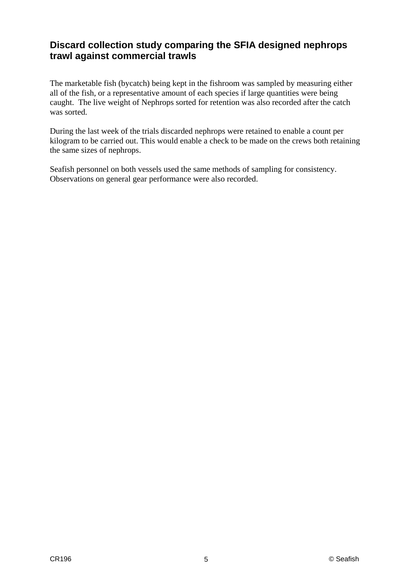The marketable fish (bycatch) being kept in the fishroom was sampled by measuring either all of the fish, or a representative amount of each species if large quantities were being caught. The live weight of Nephrops sorted for retention was also recorded after the catch was sorted.

During the last week of the trials discarded nephrops were retained to enable a count per kilogram to be carried out. This would enable a check to be made on the crews both retaining the same sizes of nephrops.

Seafish personnel on both vessels used the same methods of sampling for consistency. Observations on general gear performance were also recorded.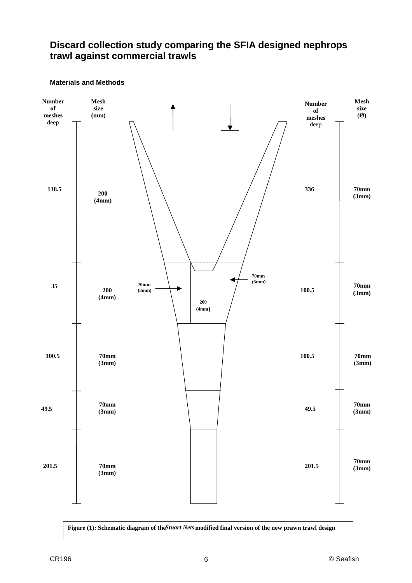



**Figure (1): Schematic diagram of the***Stuart Nets* **modified final version of the new prawn trawl design**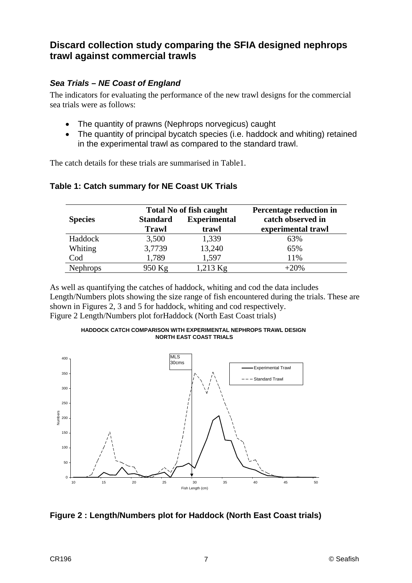#### *Sea Trials – NE Coast of England*

The indicators for evaluating the performance of the new trawl designs for the commercial sea trials were as follows:

- The quantity of prawns (Nephrops norvegicus) caught
- The quantity of principal bycatch species (i.e. haddock and whiting) retained in the experimental trawl as compared to the standard trawl.

The catch details for these trials are summarised in Table1.

|                 | <b>Total No of fish caught</b>  |                              | Percentage reduction in                 |
|-----------------|---------------------------------|------------------------------|-----------------------------------------|
| <b>Species</b>  | <b>Standard</b><br><b>Trawl</b> | <b>Experimental</b><br>trawl | catch observed in<br>experimental trawl |
| Haddock         | 3,500                           | 1,339                        | 63%                                     |
| Whiting         | 3,7739                          | 13,240                       | 65%                                     |
| Cod             | 1,789                           | 1,597                        | 11%                                     |
| <b>Nephrops</b> | 950 Kg                          | $1,213$ Kg                   | $+20%$                                  |

#### **Table 1: Catch summary for NE Coast UK Trials**

As well as quantifying the catches of haddock, whiting and cod the data includes Length/Numbers plots showing the size range of fish encountered during the trials. These are shown in Figures 2, 3 and 5 for haddock, whiting and cod respectively. Figure 2 Length/Numbers plot forHaddock (North East Coast trials)





## **Figure 2 : Length/Numbers plot for Haddock (North East Coast trials)**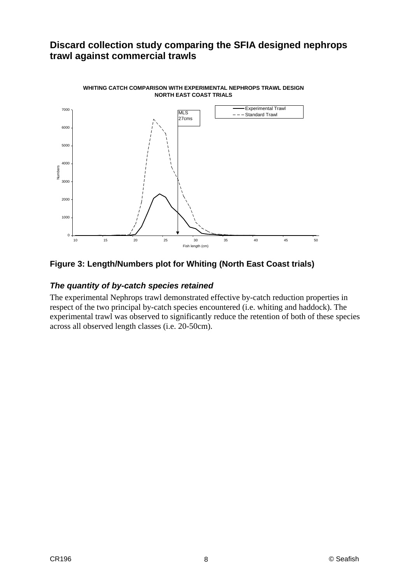

#### **Figure 3: Length/Numbers plot for Whiting (North East Coast trials)**

#### *The quantity of by-catch species retained*

The experimental Nephrops trawl demonstrated effective by-catch reduction properties in respect of the two principal by-catch species encountered (i.e. whiting and haddock). The experimental trawl was observed to significantly reduce the retention of both of these species across all observed length classes (i.e. 20-50cm).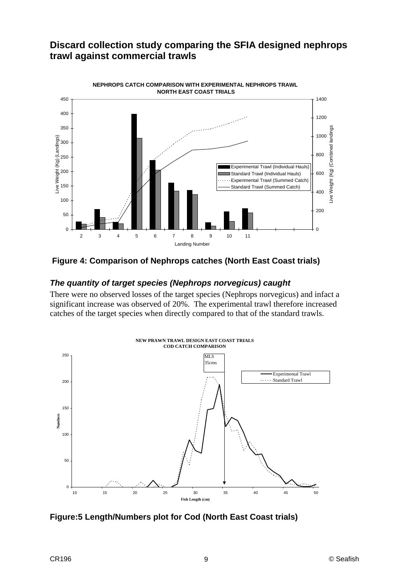

#### **Figure 4: Comparison of Nephrops catches (North East Coast trials)**

#### *The quantity of target species (Nephrops norvegicus) caught*

There were no observed losses of the target species (Nephrops norvegicus) and infact a significant increase was observed of 20%. The experimental trawl therefore increased catches of the target species when directly compared to that of the standard trawls.



## **Figure:5 Length/Numbers plot for Cod (North East Coast trials)**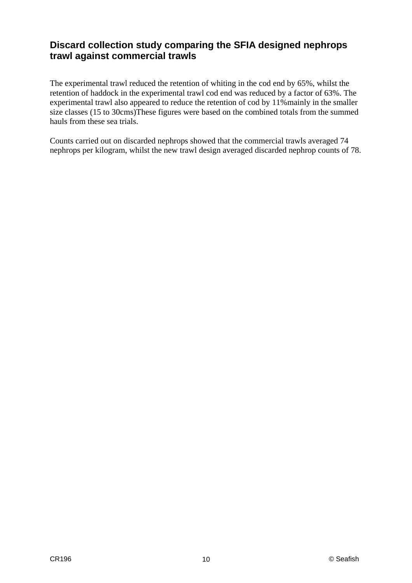The experimental trawl reduced the retention of whiting in the cod end by 65%, whilst the retention of haddock in the experimental trawl cod end was reduced by a factor of 63%. The experimental trawl also appeared to reduce the retention of cod by 11%mainly in the smaller size classes (15 to 30cms)These figures were based on the combined totals from the summed hauls from these sea trials.

Counts carried out on discarded nephrops showed that the commercial trawls averaged 74 nephrops per kilogram, whilst the new trawl design averaged discarded nephrop counts of 78.